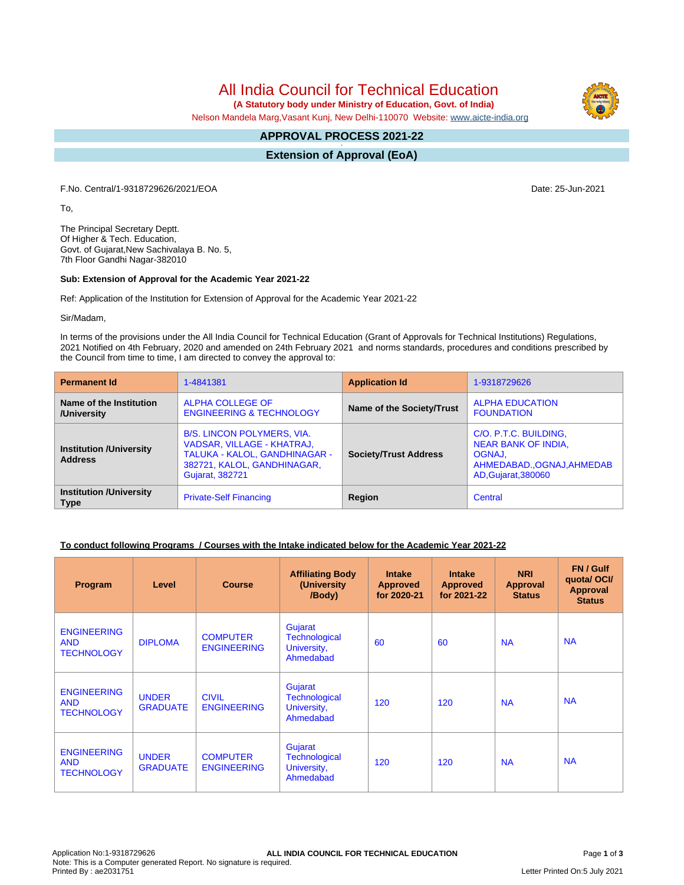All India Council for Technical Education

 **(A Statutory body under Ministry of Education, Govt. of India)**

Nelson Mandela Marg,Vasant Kunj, New Delhi-110070 Website: [www.aicte-india.org](http://www.aicte-india.org)

#### **APPROVAL PROCESS 2021-22 -**

**Extension of Approval (EoA)**

F.No. Central/1-9318729626/2021/EOA Date: 25-Jun-2021

To,

The Principal Secretary Deptt. Of Higher & Tech. Education, Govt. of Gujarat,New Sachivalaya B. No. 5, 7th Floor Gandhi Nagar-382010

#### **Sub: Extension of Approval for the Academic Year 2021-22**

Ref: Application of the Institution for Extension of Approval for the Academic Year 2021-22

Sir/Madam,

In terms of the provisions under the All India Council for Technical Education (Grant of Approvals for Technical Institutions) Regulations, 2021 Notified on 4th February, 2020 and amended on 24th February 2021 and norms standards, procedures and conditions prescribed by the Council from time to time, I am directed to convey the approval to:

| <b>Permanent Id</b>                              | 1-4841381                                                                                                                                                 | <b>Application Id</b>        | 1-9318729626                                                                                                |  |
|--------------------------------------------------|-----------------------------------------------------------------------------------------------------------------------------------------------------------|------------------------------|-------------------------------------------------------------------------------------------------------------|--|
| Name of the Institution<br>/University           | ALPHA COLLEGE OF<br><b>ENGINEERING &amp; TECHNOLOGY</b>                                                                                                   | Name of the Society/Trust    | <b>ALPHA EDUCATION</b><br><b>FOUNDATION</b>                                                                 |  |
| <b>Institution /University</b><br><b>Address</b> | <b>B/S. LINCON POLYMERS, VIA.</b><br>VADSAR, VILLAGE - KHATRAJ,<br>TALUKA - KALOL, GANDHINAGAR -<br>382721, KALOL, GANDHINAGAR,<br><b>Gujarat, 382721</b> | <b>Society/Trust Address</b> | C/O. P.T.C. BUILDING,<br>NEAR BANK OF INDIA,<br>OGNAJ.<br>AHMEDABAD., OGNAJ, AHMEDAB<br>AD, Gujarat, 380060 |  |
| <b>Institution /University</b><br><b>Type</b>    | <b>Private-Self Financing</b>                                                                                                                             | Region                       | Central                                                                                                     |  |

## **To conduct following Programs / Courses with the Intake indicated below for the Academic Year 2021-22**

| Program                                               | Level                           | <b>Course</b>                         | <b>Affiliating Body</b><br>(University)<br>/Body)           | <b>Intake</b><br><b>Approved</b><br>for 2020-21 | <b>Intake</b><br><b>Approved</b><br>for 2021-22 | <b>NRI</b><br>Approval<br><b>Status</b> | FN / Gulf<br>quotal OCI/<br><b>Approval</b><br><b>Status</b> |
|-------------------------------------------------------|---------------------------------|---------------------------------------|-------------------------------------------------------------|-------------------------------------------------|-------------------------------------------------|-----------------------------------------|--------------------------------------------------------------|
| <b>ENGINEERING</b><br><b>AND</b><br><b>TECHNOLOGY</b> | <b>DIPLOMA</b>                  | <b>COMPUTER</b><br><b>ENGINEERING</b> | Gujarat<br><b>Technological</b><br>University,<br>Ahmedabad | 60                                              | 60                                              | <b>NA</b>                               | <b>NA</b>                                                    |
| <b>ENGINEERING</b><br><b>AND</b><br><b>TECHNOLOGY</b> | <b>UNDER</b><br><b>GRADUATE</b> | <b>CIVIL</b><br><b>ENGINEERING</b>    | Gujarat<br><b>Technological</b><br>University,<br>Ahmedabad | 120                                             | 120                                             | <b>NA</b>                               | <b>NA</b>                                                    |
| <b>ENGINEERING</b><br><b>AND</b><br><b>TECHNOLOGY</b> | <b>UNDER</b><br><b>GRADUATE</b> | <b>COMPUTER</b><br><b>ENGINEERING</b> | Gujarat<br><b>Technological</b><br>University,<br>Ahmedabad | 120                                             | 120                                             | <b>NA</b>                               | <b>NA</b>                                                    |

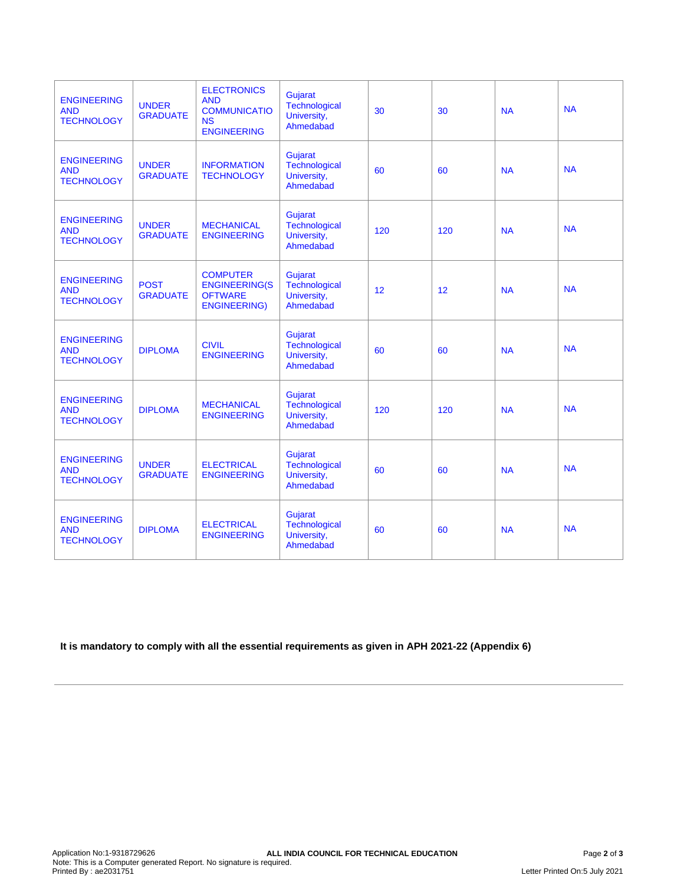| <b>ENGINEERING</b><br><b>AND</b><br><b>TECHNOLOGY</b> | <b>UNDER</b><br><b>GRADUATE</b> | <b>ELECTRONICS</b><br><b>AND</b><br><b>COMMUNICATIO</b><br><b>NS</b><br><b>ENGINEERING</b> | <b>Gujarat</b><br>Technological<br>University,<br>Ahmedabad | 30  | 30  | <b>NA</b> | <b>NA</b> |
|-------------------------------------------------------|---------------------------------|--------------------------------------------------------------------------------------------|-------------------------------------------------------------|-----|-----|-----------|-----------|
| <b>ENGINEERING</b><br><b>AND</b><br><b>TECHNOLOGY</b> | <b>UNDER</b><br><b>GRADUATE</b> | <b>INFORMATION</b><br><b>TECHNOLOGY</b>                                                    | Gujarat<br>Technological<br>University,<br>Ahmedabad        | 60  | 60  | <b>NA</b> | <b>NA</b> |
| <b>ENGINEERING</b><br><b>AND</b><br><b>TECHNOLOGY</b> | <b>UNDER</b><br><b>GRADUATE</b> | <b>MECHANICAL</b><br><b>ENGINEERING</b>                                                    | Gujarat<br>Technological<br>University,<br>Ahmedabad        | 120 | 120 | <b>NA</b> | <b>NA</b> |
| <b>ENGINEERING</b><br><b>AND</b><br><b>TECHNOLOGY</b> | <b>POST</b><br><b>GRADUATE</b>  | <b>COMPUTER</b><br><b>ENGINEERING(S</b><br><b>OFTWARE</b><br><b>ENGINEERING)</b>           | Gujarat<br>Technological<br>University,<br>Ahmedabad        | 12  | 12  | <b>NA</b> | <b>NA</b> |
| <b>ENGINEERING</b><br><b>AND</b><br><b>TECHNOLOGY</b> | <b>DIPLOMA</b>                  | <b>CIVIL</b><br><b>ENGINEERING</b>                                                         | Gujarat<br>Technological<br>University,<br>Ahmedabad        | 60  | 60  | <b>NA</b> | <b>NA</b> |
| <b>ENGINEERING</b><br><b>AND</b><br><b>TECHNOLOGY</b> | <b>DIPLOMA</b>                  | <b>MECHANICAL</b><br><b>ENGINEERING</b>                                                    | Gujarat<br>Technological<br>University,<br>Ahmedabad        | 120 | 120 | <b>NA</b> | <b>NA</b> |
| <b>ENGINEERING</b><br><b>AND</b><br><b>TECHNOLOGY</b> | <b>UNDER</b><br><b>GRADUATE</b> | <b>ELECTRICAL</b><br><b>ENGINEERING</b>                                                    | Gujarat<br>Technological<br>University,<br>Ahmedabad        | 60  | 60  | <b>NA</b> | <b>NA</b> |
| <b>ENGINEERING</b><br><b>AND</b><br><b>TECHNOLOGY</b> | <b>DIPLOMA</b>                  | <b>ELECTRICAL</b><br><b>ENGINEERING</b>                                                    | Gujarat<br>Technological<br>University,<br>Ahmedabad        | 60  | 60  | <b>NA</b> | <b>NA</b> |

**It is mandatory to comply with all the essential requirements as given in APH 2021-22 (Appendix 6)**